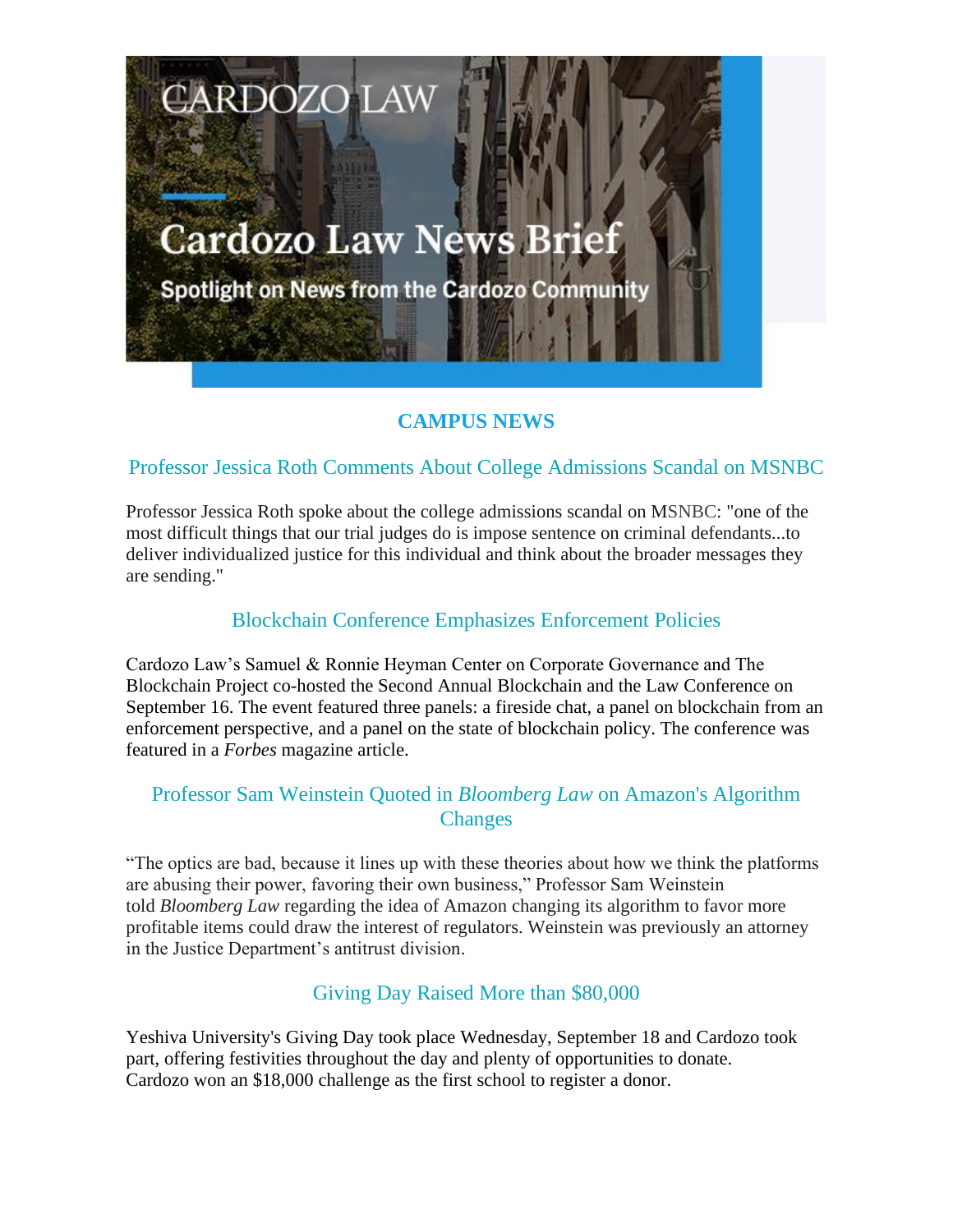# **Cardozo Law News Brief**

**CARDOZO LAW** 

Spotlight on News from the Cardozo Community

## **CAMPUS NEWS**

## Professor Jessica Roth Comments About College Admissions Scandal on MSNBC

Professor Jessica Roth spoke about the college admissions scandal on MSNBC: "one of the most difficult things that our trial judges do is impose sentence on criminal defendants...to deliver individualized justice for this individual and think about the broader messages they are sending."

#### Blockchain Conference Emphasizes Enforcement Policies

Cardozo Law's Samuel & Ronnie Heyman Center on Corporate Governance and The Blockchain Project co-hosted the Second Annual Blockchain and the Law Conference on September 16. The event featured three panels: a fireside chat, a panel on blockchain from an enforcement perspective, and a panel on the state of blockchain policy. The conference was featured in a *Forbes* magazine article.

## Professor Sam Weinstein Quoted in *Bloomberg Law* on Amazon's Algorithm **Changes**

"The optics are bad, because it lines up with these theories about how we think the platforms are abusing their power, favoring their own business," Professor Sam Weinstein told *Bloomberg Law* regarding the idea of Amazon changing its algorithm to favor more profitable items could draw the interest of regulators. Weinstein was previously an attorney in the Justice Department's antitrust division.

## Giving Day Raised More than \$80,000

Yeshiva University's Giving Day took place Wednesday, September 18 and Cardozo took part, offering festivities throughout the day and plenty of opportunities to donate. Cardozo won an \$18,000 challenge as the first school to register a donor.